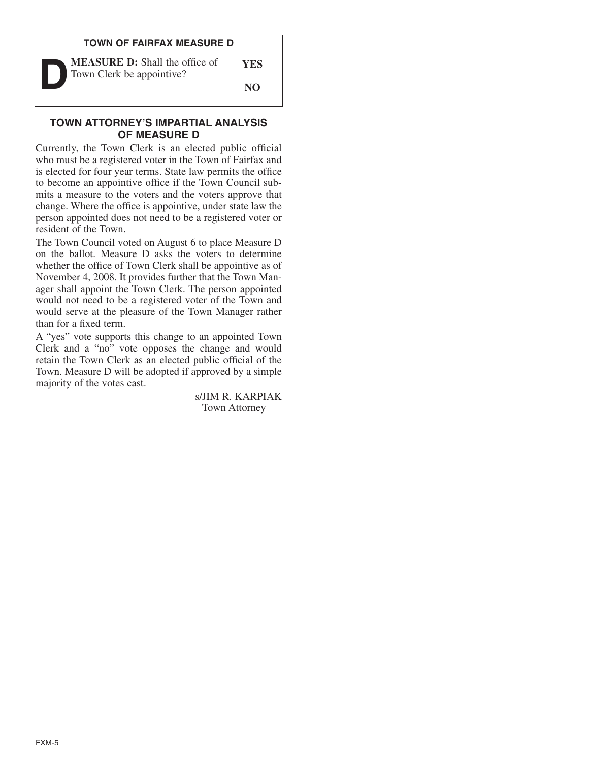### **TOWN OF FAIRFAX MEASURE D**



**MEASURE D:** Shall the office of Town Clerk be appointive?

**NO**

**YES**

#### **TOWN ATTORNEY'S IMPARTIAL ANALYSIS OF MEASURE D**

Currently, the Town Clerk is an elected public official who must be a registered voter in the Town of Fairfax and is elected for four year terms. State law permits the office to become an appointive office if the Town Council submits a measure to the voters and the voters approve that change. Where the office is appointive, under state law the person appointed does not need to be a registered voter or resident of the Town.

The Town Council voted on August 6 to place Measure D on the ballot. Measure D asks the voters to determine whether the office of Town Clerk shall be appointive as of November 4, 2008. It provides further that the Town Manager shall appoint the Town Clerk. The person appointed would not need to be a registered voter of the Town and would serve at the pleasure of the Town Manager rather than for a fixed term.

A "yes" vote supports this change to an appointed Town Clerk and a "no" vote opposes the change and would retain the Town Clerk as an elected public official of the Town. Measure D will be adopted if approved by a simple majority of the votes cast.

> s/JIM R. KARPIAK Town Attorney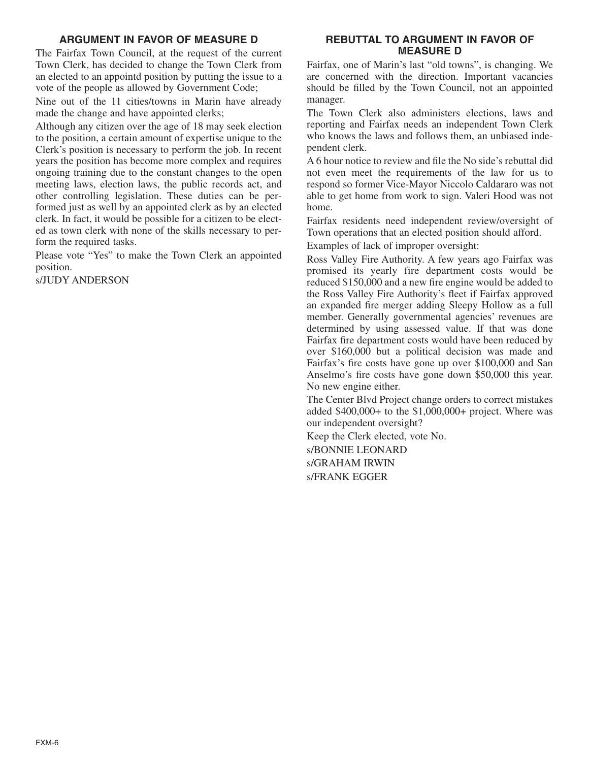# **ARGUMENT IN FAVOR OF MEASURE D**

The Fairfax Town Council, at the request of the current Town Clerk, has decided to change the Town Clerk from an elected to an appointd position by putting the issue to a vote of the people as allowed by Government Code;

Nine out of the 11 cities/towns in Marin have already made the change and have appointed clerks;

Although any citizen over the age of 18 may seek election to the position, a certain amount of expertise unique to the Clerk's position is necessary to perform the job. In recent years the position has become more complex and requires ongoing training due to the constant changes to the open meeting laws, election laws, the public records act, and other controlling legislation. These duties can be performed just as well by an appointed clerk as by an elected clerk. In fact, it would be possible for a citizen to be elected as town clerk with none of the skills necessary to perform the required tasks.

Please vote "Yes" to make the Town Clerk an appointed position.

s/JUDY ANDERSON

## **REBUTTAL TO ARGUMENT IN FAVOR OF MEASURE D**

Fairfax, one of Marin's last "old towns", is changing. We are concerned with the direction. Important vacancies should be filled by the Town Council, not an appointed manager.

The Town Clerk also administers elections, laws and reporting and Fairfax needs an independent Town Clerk who knows the laws and follows them, an unbiased independent clerk.

A 6 hour notice to review and file the No side's rebuttal did not even meet the requirements of the law for us to respond so former Vice-Mayor Niccolo Caldararo was not able to get home from work to sign. Valeri Hood was not home.

Fairfax residents need independent review/oversight of Town operations that an elected position should afford. Examples of lack of improper oversight:

Ross Valley Fire Authority. A few years ago Fairfax was promised its yearly fire department costs would be reduced \$150,000 and a new fire engine would be added to the Ross Valley Fire Authority's fleet if Fairfax approved an expanded fire merger adding Sleepy Hollow as a full member. Generally governmental agencies' revenues are determined by using assessed value. If that was done Fairfax fire department costs would have been reduced by over \$160,000 but a political decision was made and Fairfax's fire costs have gone up over \$100,000 and San Anselmo's fire costs have gone down \$50,000 this year. No new engine either.

The Center Blvd Project change orders to correct mistakes added \$400,000+ to the \$1,000,000+ project. Where was our independent oversight?

Keep the Clerk elected, vote No.

s/BONNIE LEONARD s/GRAHAM IRWIN s/FRANK EGGER